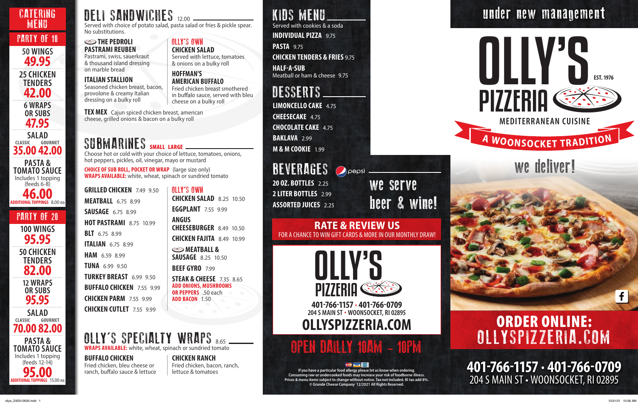## KIDS MENU

Served with cookies & a soda

**INDIVIDUAL PIZZA** 9.75

**PASTA** 9.75

**CHICKEN TENDERS & FRIES** 9.75

**HALF-A-SUB** Meatball or ham & cheese 9.75

> **401-766-1157 · 401-766-0709** 204 S MAIN ST • WOONSOCKET, RI 02895

 $f$ 

**LIMONCELLO CAKE** 4.75 **CHEESECAKE** 4.75 **CHOCOLATE CAKE** 4.75 **BAKLAVA** 2.99 **M & M COOKIE** 1.99

## **BEVERAGES** Opepsi. **20 OZ. BOTTLES** 2.25 **2 LITER BOTTLES** 2.99

**If you have a particular food allergy please let us know when ordering. Consuming raw or undercooked foods may increase your risk of foodborne illness. Prices & menu items subject to change without notice. Tax not included. RI tax add 8%. © Grande Cheese Company 12/2021 All Rights Reserved.**

# OPEN DAILLY 10AM - 10PM

## DESSERTS



# $A$  **WOONSOCKET TRADITION**

## we deliver!

**ASSORTED JUICES** 2.25

**PASTA & TOMATO SAUCE** Includes 1 topping (feeds 12-14) **95.00 ADDITIONAL TOPPINGS** 15.00 ea

#### **SEED THE PEDROLI PASTRAMI REUBEN**

**401-766-1157 · 401-766-0709 204 S MAIN ST · WOONSOCKET, RI 02895 OLLYSPIZZERIA.COM**



**TEX MEX** Cajun spiced chicken breast, american cheese, grilled onions & bacon on a bulky roll

## SUBMARINES SMALL LARGE

Served with choice of potato salad, pasta salad or fries & pickle spear. No substitutions.

## OLLY'S SPECIALTY WRAPS 8.65 **WRAPS AVAILABLE:** white, wheat, spinach or sundried tomato

Choose hot or cold with your choice of lettuce, tomatoes, onions, hot peppers, pickles, oil, vinegar, mayo or mustard

**CHOICE OF SUB ROLL, POCKET OR WRAP** (large size only) **WRAPS AVAILABLE:** white, wheat, spinach or sundried tomato

**GRILLED CHICKEN** 7.49 9.50 **MEATBALL** 6.75 8.99 **SAUSAGE** 6.75 8.99 **HOT PASTRAMI** 8.75 10.99 **BLT** 6.75 8.99 **ITALIAN** 6.75 8.99 **HAM** 6.59 8.99 **TUNA** 6.99 9.50 **TURKEY BREAST** 6.99 9.50 **BUFFALO CHICKEN** 7.55 9.99 **CHICKEN PARM** 7.55 9.99 **CHICKEN CUTLET** 7.55 9.99

**12 WRAPS OR SUBS 95.95 SALAD CLASSIC GOURMET 35.00 42.00 SALAD CLASSIC GOURMET 70.00 82.00 100 WINGS 95.95 50 CHICKEN TENDERS 82.00 PASTA & TOMATO SAUCE** Includes 1 topping (feeds 6-8) **46.00 ADDITIONAL TOPPINGS** 8.00 ea CATERING MENU PARTY OF 10 PARTY OF 20 **50 WINGS 49.95 25 CHICKEN TENDERS 42.00 6 WRAPS OR SUBS 47.95**

## DELI SANDWICHES 12.00

OLLY'S OWN **CHICKEN SALAD** 8.25 10.50 **EGGPLANT** 7.55 9.99 **ANGUS CHEESEBURGER** 8.49 10.50 **CHICKEN FAJITA** 8.49 10.99 **SMEATBALL & SAUSAGE** 8.25 10.50 **BEEF GYRO** 7.99 **STEAK & CHEESE** 7.35 8.65

**ADD ONIONS, MUSHROOMS OR PEPPERS** .50 each **ADD BACON** 1.50

Pastrami, swiss, sauerkraut & thousand island dressing on marble bread

#### **ITALIAN STALLION**

Seasoned chicken breast, bacon, provolone & creamy Italian dressing on a bulky roll

OLLY'S OWN **CHICKEN SALAD**

Served with lettuce, tomatoes

& onions on a bulky roll

**HOFFMAN'S** 

**AMERICAN BUFFALO**

Fried chicken breast smothered in buffalo sauce, served with bleu

cheese on a bulky roll

#### **BUFFALO CHICKEN** Fried chicken, bleu cheese or ranch, buffalo sauce & lettuce

**CHICKEN RANCH** Fried chicken, bacon, ranch, lettuce & tomatoes

under new management

we serve beer & wine!

## ORDER ONLINE: OLLYSPIZZERIA.COM

#### **RATE & REVIEW US**  FOR A CHANCE TO WIN GIFT CARDS & MORE IN OUR MONTHLY DRAW!

#### ollys\_Z4D012630.indd 1 12/21/21 10:56 AM